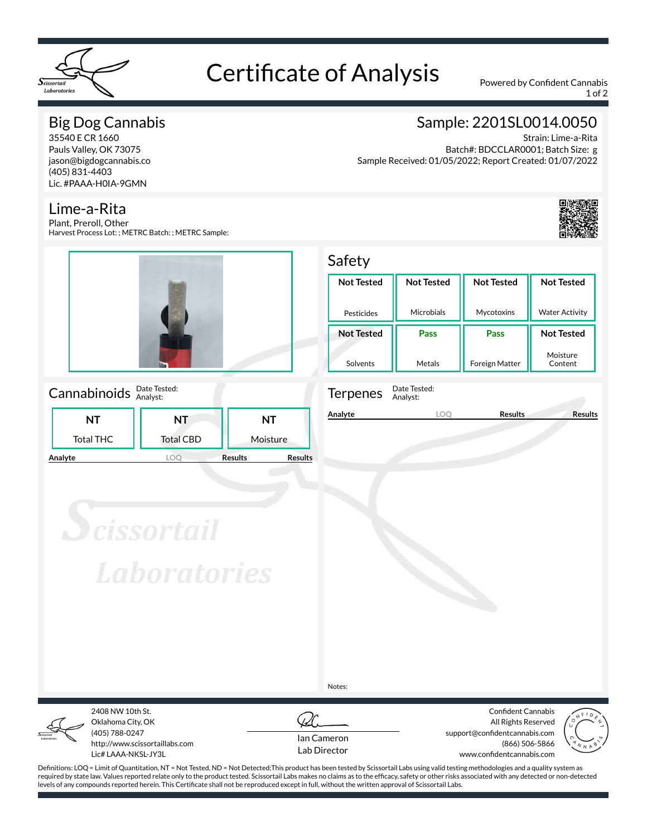

# Certificate of Analysis Powered by Confident Cannabis

1 of 2

# Big Dog Cannabis

35540 E CR 1660 Pauls Valley, OK 73075 jason@bigdogcannabis.co (405) 831-4403 Lic. #PAAA-H0IA-9GMN

# Lime-a-Rita

Plant, Preroll, Other Harvest Process Lot: ; METRC Batch: ; METRC Sample:



### Cannabinoids **Date Tested:**

|         |                  | .                |                                  |  |
|---------|------------------|------------------|----------------------------------|--|
|         | NΤ               | NT               | NT                               |  |
|         | <b>Total THC</b> | <b>Total CBD</b> | Moisture                         |  |
| Analyte |                  |                  | <b>Results</b><br><b>Results</b> |  |

# Sample: 2201SL0014.0050

Strain: Lime-a-Rita Batch#: BDCCLAR0001; Batch Size: g Sample Received: 01/05/2022; Report Created: 01/07/2022



#### Safety **Not Tested** Pesticides **Not Tested** Microbials **Not Tested** Mycotoxins **Not Tested** Water Activity **Not Tested** Solvents **Pass** Metals **Pass** Foreign Matter **Not Tested** Moisture Content



Terpenes Date Tested: Analyst:

**Analyte LOQ Results Results**

**Scissortail Laboratories** 

Notes:



Oklahoma City, OK (405) 788-0247 http://www.scissortaillabs.com Lic# LAAA-NKSL-JY3L

2408 NW 10th St.



Confident Cannabis All Rights Reserved support@confidentcannabis.com (866) 506-5866 www.confidentcannabis.com



Definitions: LOQ = Limit of Quantitation, NT = Not Tested, ND = Not Detected;This product has been tested by Scissortail Labs using valid testing methodologies and a quality system as required by state law. Values reported relate only to the product tested. Scissortail Labs makes no claims as to the efficacy, safety or other risks associated with any detected or non-detected levels of any compounds reported herein. This Certificate shall not be reproduced except in full, without the written approval of Scissortail Labs.